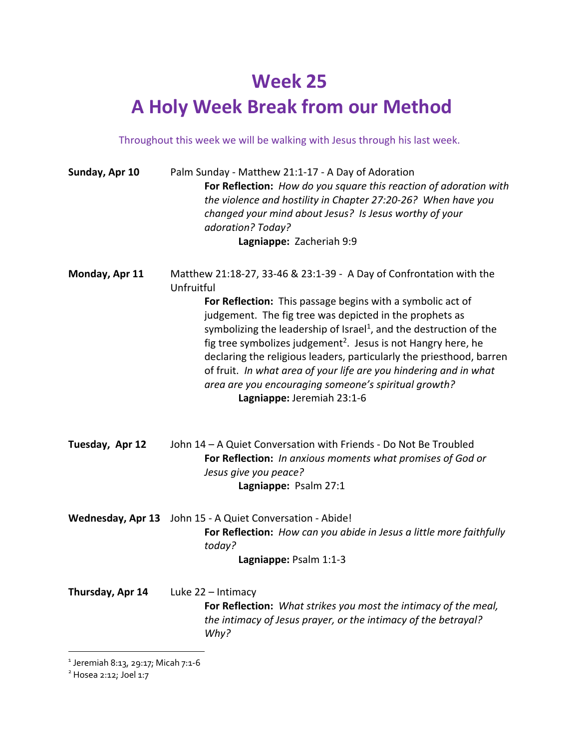## **Week 25 A Holy Week Break from our Method**

Throughout this week we will be walking with Jesus through his last week.

| Sunday, Apr 10   | Palm Sunday - Matthew 21:1-17 - A Day of Adoration<br>For Reflection: How do you square this reaction of adoration with<br>the violence and hostility in Chapter 27:20-26? When have you<br>changed your mind about Jesus? Is Jesus worthy of your<br>adoration? Today?<br>Lagniappe: Zacheriah 9:9                                                                                                                                                                                                                                                                                                          |
|------------------|--------------------------------------------------------------------------------------------------------------------------------------------------------------------------------------------------------------------------------------------------------------------------------------------------------------------------------------------------------------------------------------------------------------------------------------------------------------------------------------------------------------------------------------------------------------------------------------------------------------|
| Monday, Apr 11   | Matthew 21:18-27, 33-46 & 23:1-39 - A Day of Confrontation with the<br>Unfruitful<br>For Reflection: This passage begins with a symbolic act of<br>judgement. The fig tree was depicted in the prophets as<br>symbolizing the leadership of Israel <sup>1</sup> , and the destruction of the<br>fig tree symbolizes judgement <sup>2</sup> . Jesus is not Hangry here, he<br>declaring the religious leaders, particularly the priesthood, barren<br>of fruit. In what area of your life are you hindering and in what<br>area are you encouraging someone's spiritual growth?<br>Lagniappe: Jeremiah 23:1-6 |
| Tuesday, Apr 12  | John 14 - A Quiet Conversation with Friends - Do Not Be Troubled<br>For Reflection: In anxious moments what promises of God or<br>Jesus give you peace?<br>Lagniappe: Psalm 27:1                                                                                                                                                                                                                                                                                                                                                                                                                             |
|                  | Wednesday, Apr 13 John 15 - A Quiet Conversation - Abide!<br>For Reflection: How can you abide in Jesus a little more faithfully<br>today?<br>Lagniappe: Psalm 1:1-3                                                                                                                                                                                                                                                                                                                                                                                                                                         |
| Thursday, Apr 14 | Luke 22 - Intimacy<br>For Reflection: What strikes you most the intimacy of the meal,<br>the intimacy of Jesus prayer, or the intimacy of the betrayal?<br>Why?                                                                                                                                                                                                                                                                                                                                                                                                                                              |

<sup>1</sup> Jeremiah 8:13, 29:17; Micah 7:1-6

 $2$  Hosea 2:12; Joel 1:7